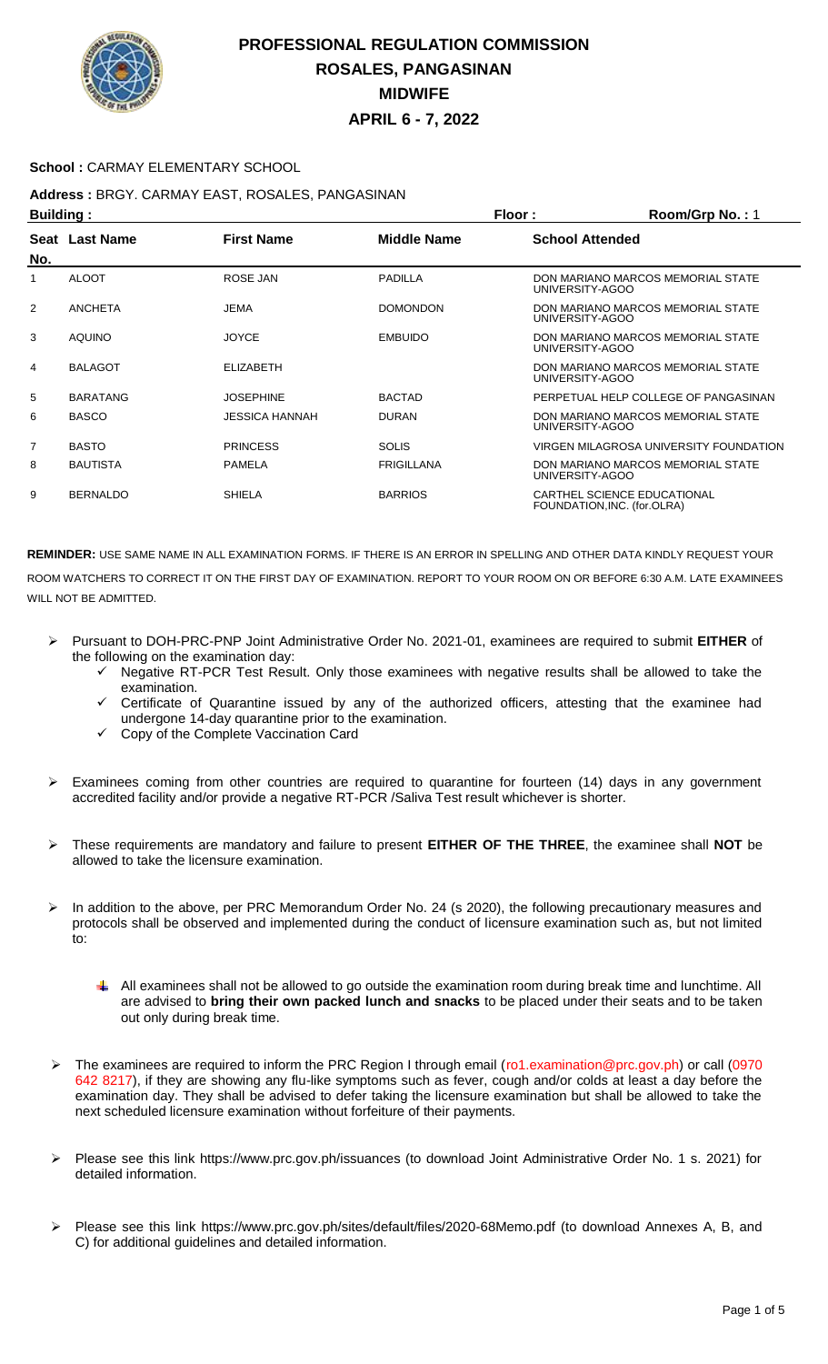

### **School :** CARMAY ELEMENTARY SCHOOL

# **Address :** BRGY. CARMAY EAST, ROSALES, PANGASINAN

| <b>Building:</b> |                 |                   |                    | <b>Floor:</b><br>Room/Grp No.: 1                           |
|------------------|-----------------|-------------------|--------------------|------------------------------------------------------------|
| No.              | Seat Last Name  | <b>First Name</b> | <b>Middle Name</b> | <b>School Attended</b>                                     |
| 1                | <b>ALOOT</b>    | ROSE JAN          | PADILLA            | DON MARIANO MARCOS MEMORIAL STATE<br>UNIVERSITY-AGOO       |
| 2                | <b>ANCHETA</b>  | <b>JEMA</b>       | <b>DOMONDON</b>    | DON MARIANO MARCOS MEMORIAL STATE<br>UNIVERSITY-AGOO       |
| 3                | <b>AQUINO</b>   | <b>JOYCE</b>      | <b>EMBUIDO</b>     | DON MARIANO MARCOS MEMORIAL STATE<br>UNIVERSITY-AGOO       |
| 4                | <b>BALAGOT</b>  | <b>ELIZABETH</b>  |                    | DON MARIANO MARCOS MEMORIAL STATE<br>UNIVERSITY-AGOO       |
| 5                | <b>BARATANG</b> | <b>JOSEPHINE</b>  | <b>BACTAD</b>      | PERPETUAL HELP COLLEGE OF PANGASINAN                       |
| 6                | <b>BASCO</b>    | JESSICA HANNAH    | <b>DURAN</b>       | DON MARIANO MARCOS MEMORIAL STATE<br>UNIVERSITY-AGOO       |
| 7                | <b>BASTO</b>    | <b>PRINCESS</b>   | <b>SOLIS</b>       | VIRGEN MILAGROSA UNIVERSITY FOUNDATION                     |
| 8                | <b>BAUTISTA</b> | <b>PAMELA</b>     | <b>FRIGILLANA</b>  | DON MARIANO MARCOS MEMORIAL STATE<br>UNIVERSITY-AGOO       |
| 9                | <b>BERNALDO</b> | <b>SHIELA</b>     | <b>BARRIOS</b>     | CARTHEL SCIENCE EDUCATIONAL<br>FOUNDATION, INC. (for.OLRA) |

- Pursuant to DOH-PRC-PNP Joint Administrative Order No. 2021-01, examinees are required to submit **EITHER** of the following on the examination day:
	- Negative RT-PCR Test Result. Only those examinees with negative results shall be allowed to take the examination.
	- Certificate of Quarantine issued by any of the authorized officers, attesting that the examinee had undergone 14-day quarantine prior to the examination.
	- Copy of the Complete Vaccination Card
- Examinees coming from other countries are required to quarantine for fourteen (14) days in any government accredited facility and/or provide a negative RT-PCR /Saliva Test result whichever is shorter.
- These requirements are mandatory and failure to present **EITHER OF THE THREE**, the examinee shall **NOT** be allowed to take the licensure examination.
- In addition to the above, per PRC Memorandum Order No. 24 (s 2020), the following precautionary measures and protocols shall be observed and implemented during the conduct of licensure examination such as, but not limited to:
	- All examinees shall not be allowed to go outside the examination room during break time and lunchtime. All are advised to **bring their own packed lunch and snacks** to be placed under their seats and to be taken out only during break time.
- The examinees are required to inform the PRC Region I through email (ro1.examination@prc.gov.ph) or call (0970 642 8217), if they are showing any flu-like symptoms such as fever, cough and/or colds at least a day before the examination day. They shall be advised to defer taking the licensure examination but shall be allowed to take the next scheduled licensure examination without forfeiture of their payments.
- Please see this link https://www.prc.gov.ph/issuances (to download Joint Administrative Order No. 1 s. 2021) for detailed information.
- Please see this link https://www.prc.gov.ph/sites/default/files/2020-68Memo.pdf (to download Annexes A, B, and C) for additional guidelines and detailed information.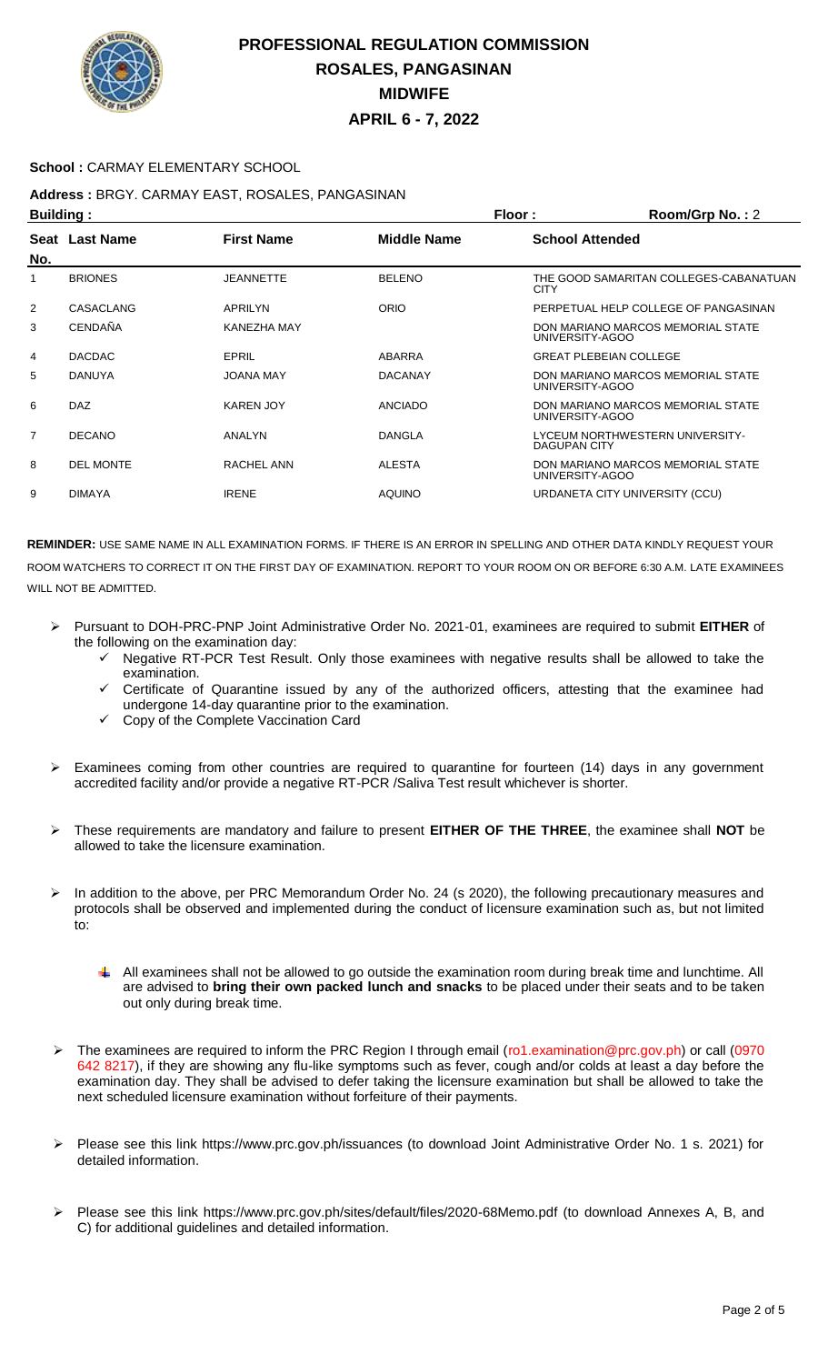

#### **School :** CARMAY ELEMENTARY SCHOOL

## **Address :** BRGY. CARMAY EAST, ROSALES, PANGASINAN

| <b>Building:</b> |                  |                   |                | Floor:<br>Room/Grp No.: 2                             |
|------------------|------------------|-------------------|----------------|-------------------------------------------------------|
|                  | Seat Last Name   | <b>First Name</b> | Middle Name    | <b>School Attended</b>                                |
| No.              |                  |                   |                |                                                       |
| 1                | <b>BRIONES</b>   | <b>JEANNETTE</b>  | <b>BELENO</b>  | THE GOOD SAMARITAN COLLEGES-CABANATUAN<br><b>CITY</b> |
| 2                | <b>CASACLANG</b> | APRILYN           | <b>ORIO</b>    | PERPETUAL HELP COLLEGE OF PANGASINAN                  |
| 3                | <b>CENDAÑA</b>   | KANEZHA MAY       |                | DON MARIANO MARCOS MEMORIAL STATE<br>UNIVERSITY-AGOO  |
| 4                | <b>DACDAC</b>    | EPRIL             | ABARRA         | <b>GREAT PLEBEIAN COLLEGE</b>                         |
| 5                | <b>DANUYA</b>    | <b>JOANA MAY</b>  | <b>DACANAY</b> | DON MARIANO MARCOS MEMORIAL STATE<br>UNIVERSITY-AGOO  |
| 6                | <b>DAZ</b>       | <b>KAREN JOY</b>  | <b>ANCIADO</b> | DON MARIANO MARCOS MEMORIAL STATE<br>UNIVERSITY-AGOO  |
| 7                | <b>DECANO</b>    | ANALYN            | DANGLA         | LYCEUM NORTHWESTERN UNIVERSITY-<br>DAGUPAN CITY       |
| 8                | <b>DEL MONTE</b> | RACHEL ANN        | ALESTA         | DON MARIANO MARCOS MEMORIAL STATE<br>UNIVERSITY-AGOO  |
| 9                | <b>DIMAYA</b>    | <b>IRENE</b>      | <b>AQUINO</b>  | URDANETA CITY UNIVERSITY (CCU)                        |
|                  |                  |                   |                |                                                       |

- Pursuant to DOH-PRC-PNP Joint Administrative Order No. 2021-01, examinees are required to submit **EITHER** of the following on the examination day:
	- Negative RT-PCR Test Result. Only those examinees with negative results shall be allowed to take the examination.
	- $\checkmark$  Certificate of Quarantine issued by any of the authorized officers, attesting that the examinee had undergone 14-day quarantine prior to the examination.
	- $\checkmark$  Copy of the Complete Vaccination Card
- $\triangleright$  Examinees coming from other countries are required to quarantine for fourteen (14) days in any government accredited facility and/or provide a negative RT-PCR /Saliva Test result whichever is shorter.
- These requirements are mandatory and failure to present **EITHER OF THE THREE**, the examinee shall **NOT** be allowed to take the licensure examination.
- In addition to the above, per PRC Memorandum Order No. 24 (s 2020), the following precautionary measures and protocols shall be observed and implemented during the conduct of licensure examination such as, but not limited to:
	- All examinees shall not be allowed to go outside the examination room during break time and lunchtime. All are advised to **bring their own packed lunch and snacks** to be placed under their seats and to be taken out only during break time.
- The examinees are required to inform the PRC Region I through email (ro1.examination@prc.gov.ph) or call (0970 642 8217), if they are showing any flu-like symptoms such as fever, cough and/or colds at least a day before the examination day. They shall be advised to defer taking the licensure examination but shall be allowed to take the next scheduled licensure examination without forfeiture of their payments.
- Please see this link https://www.prc.gov.ph/issuances (to download Joint Administrative Order No. 1 s. 2021) for detailed information.
- Please see this link https://www.prc.gov.ph/sites/default/files/2020-68Memo.pdf (to download Annexes A, B, and C) for additional guidelines and detailed information.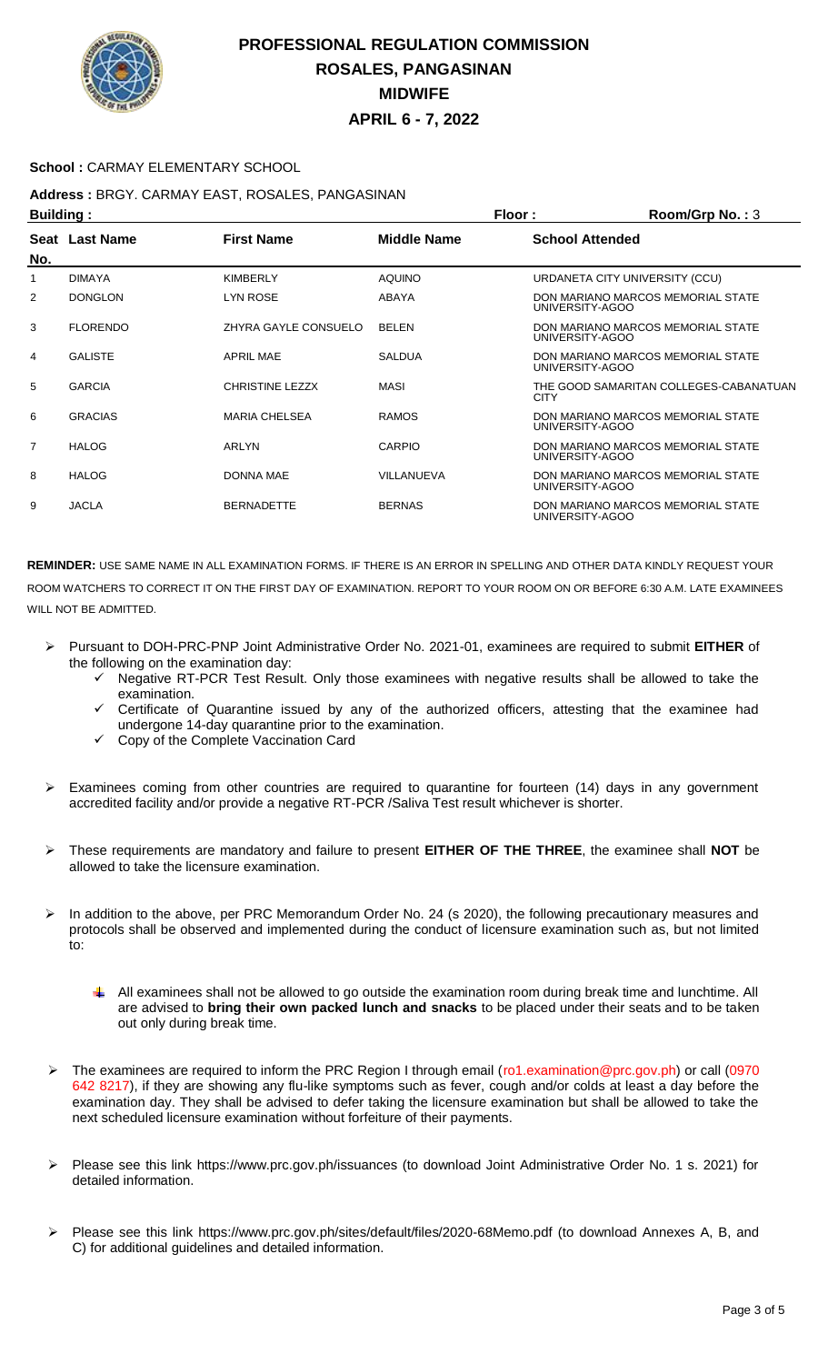

### **School :** CARMAY ELEMENTARY SCHOOL

## **Address :** BRGY. CARMAY EAST, ROSALES, PANGASINAN

| <b>Building:</b> |                 |                        |                    | Floor:                         | Room/Grp No.: 3                        |
|------------------|-----------------|------------------------|--------------------|--------------------------------|----------------------------------------|
| No.              | Seat Last Name  | <b>First Name</b>      | <b>Middle Name</b> | <b>School Attended</b>         |                                        |
|                  | <b>DIMAYA</b>   | <b>KIMBERLY</b>        | <b>AQUINO</b>      | URDANETA CITY UNIVERSITY (CCU) |                                        |
| 2                | <b>DONGLON</b>  | <b>LYN ROSE</b>        | ABAYA              | UNIVERSITY-AGOO                | DON MARIANO MARCOS MEMORIAL STATE      |
| 3                | <b>FLORENDO</b> | ZHYRA GAYLE CONSUELO   | <b>BELEN</b>       | UNIVERSITY-AGOO                | DON MARIANO MARCOS MEMORIAL STATE      |
| 4                | <b>GALISTE</b>  | <b>APRIL MAE</b>       | <b>SALDUA</b>      | UNIVERSITY-AGOO                | DON MARIANO MARCOS MEMORIAL STATE      |
| 5                | <b>GARCIA</b>   | <b>CHRISTINE LEZZX</b> | MASI               | <b>CITY</b>                    | THE GOOD SAMARITAN COLLEGES-CABANATUAN |
| 6                | <b>GRACIAS</b>  | <b>MARIA CHELSEA</b>   | <b>RAMOS</b>       | UNIVERSITY-AGOO                | DON MARIANO MARCOS MEMORIAL STATE      |
| 7                | <b>HALOG</b>    | ARLYN                  | CARPIO             | UNIVERSITY-AGOO                | DON MARIANO MARCOS MEMORIAL STATE      |
| 8                | <b>HALOG</b>    | <b>DONNA MAE</b>       | VILLANUEVA         | UNIVERSITY-AGOO                | DON MARIANO MARCOS MEMORIAL STATE      |
| 9                | <b>JACLA</b>    | <b>BERNADETTE</b>      | <b>BERNAS</b>      | UNIVERSITY-AGOO                | DON MARIANO MARCOS MEMORIAL STATE      |

- Pursuant to DOH-PRC-PNP Joint Administrative Order No. 2021-01, examinees are required to submit **EITHER** of the following on the examination day:
	- Negative RT-PCR Test Result. Only those examinees with negative results shall be allowed to take the examination.
	- Certificate of Quarantine issued by any of the authorized officers, attesting that the examinee had undergone 14-day quarantine prior to the examination.
	- Copy of the Complete Vaccination Card
- Examinees coming from other countries are required to quarantine for fourteen (14) days in any government accredited facility and/or provide a negative RT-PCR /Saliva Test result whichever is shorter.
- These requirements are mandatory and failure to present **EITHER OF THE THREE**, the examinee shall **NOT** be allowed to take the licensure examination.
- In addition to the above, per PRC Memorandum Order No. 24 (s 2020), the following precautionary measures and protocols shall be observed and implemented during the conduct of licensure examination such as, but not limited to:
	- ÷ All examinees shall not be allowed to go outside the examination room during break time and lunchtime. All are advised to **bring their own packed lunch and snacks** to be placed under their seats and to be taken out only during break time.
- The examinees are required to inform the PRC Region I through email (ro1.examination@prc.gov.ph) or call (0970 642 8217), if they are showing any flu-like symptoms such as fever, cough and/or colds at least a day before the examination day. They shall be advised to defer taking the licensure examination but shall be allowed to take the next scheduled licensure examination without forfeiture of their payments.
- Please see this link https://www.prc.gov.ph/issuances (to download Joint Administrative Order No. 1 s. 2021) for detailed information.
- Please see this link https://www.prc.gov.ph/sites/default/files/2020-68Memo.pdf (to download Annexes A, B, and C) for additional guidelines and detailed information.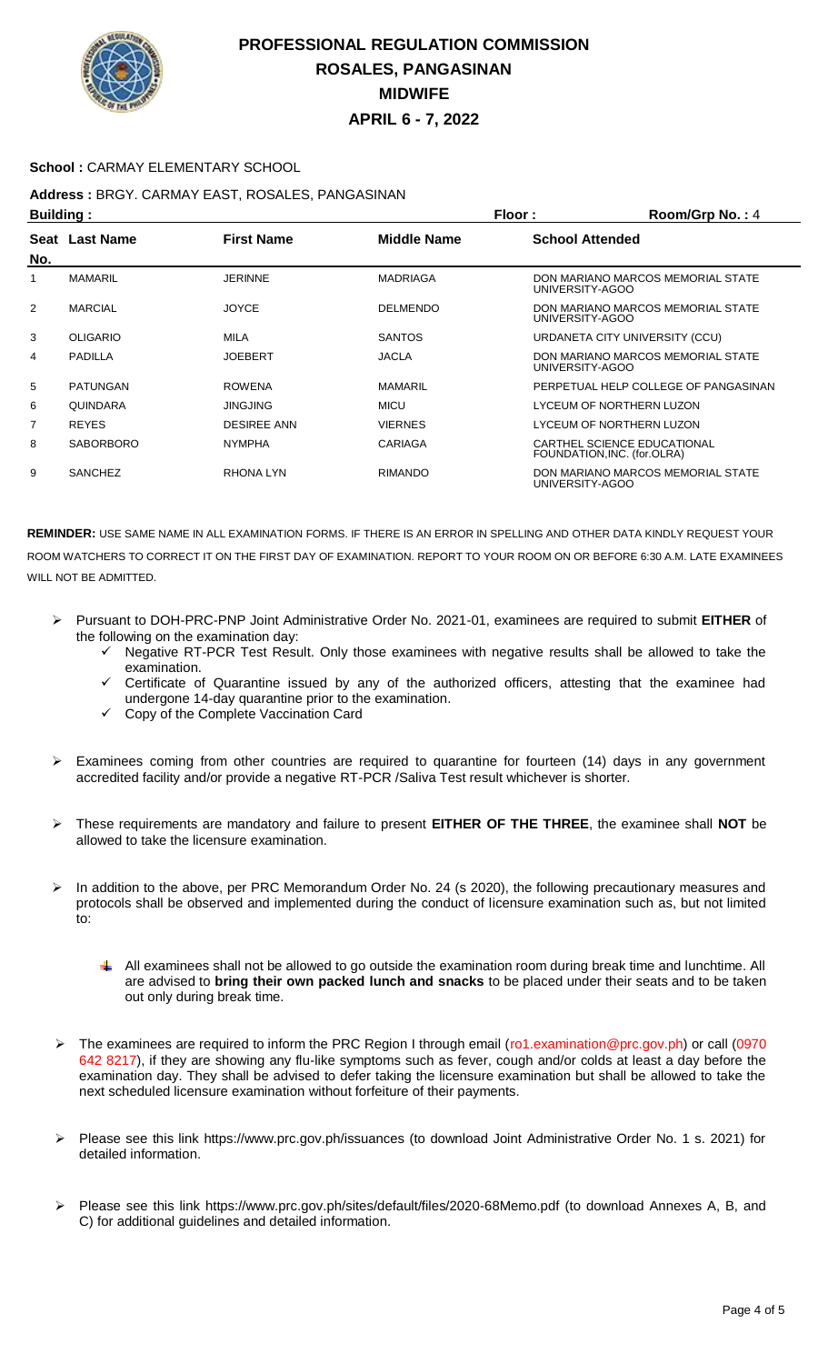

### **School :** CARMAY ELEMENTARY SCHOOL

## **Address :** BRGY. CARMAY EAST, ROSALES, PANGASINAN

| <b>Building:</b> |                  |                    |                 | Floor:                      | Room/Grp No.: 4                      |
|------------------|------------------|--------------------|-----------------|-----------------------------|--------------------------------------|
| Seat<br>No.      | <b>Last Name</b> | <b>First Name</b>  | Middle Name     | <b>School Attended</b>      |                                      |
|                  | <b>MAMARIL</b>   | <b>JERINNE</b>     | <b>MADRIAGA</b> | UNIVERSITY-AGOO             | DON MARIANO MARCOS MEMORIAL STATE    |
| 2                | <b>MARCIAL</b>   | <b>JOYCE</b>       | <b>DELMENDO</b> | UNIVERSITY-AGOO             | DON MARIANO MARCOS MEMORIAL STATE    |
| 3                | <b>OLIGARIO</b>  | MILA               | <b>SANTOS</b>   |                             | URDANETA CITY UNIVERSITY (CCU)       |
| 4                | PADILLA          | <b>JOEBERT</b>     | <b>JACLA</b>    | UNIVERSITY-AGOO             | DON MARIANO MARCOS MEMORIAL STATE    |
| 5                | PATUNGAN         | <b>ROWENA</b>      | <b>MAMARIL</b>  |                             | PERPETUAL HELP COLLEGE OF PANGASINAN |
| 6                | QUINDARA         | <b>JINGJING</b>    | <b>MICU</b>     |                             | LYCEUM OF NORTHERN LUZON             |
| 7                | <b>REYES</b>     | <b>DESIREE ANN</b> | <b>VIERNES</b>  |                             | LYCEUM OF NORTHERN LUZON             |
| 8                | <b>SABORBORO</b> | <b>NYMPHA</b>      | <b>CARIAGA</b>  | FOUNDATION, INC. (for.OLRA) | CARTHEL SCIENCE EDUCATIONAL          |
| 9                | <b>SANCHEZ</b>   | RHONA LYN          | <b>RIMANDO</b>  | UNIVERSITY-AGOO             | DON MARIANO MARCOS MEMORIAL STATE    |

- Pursuant to DOH-PRC-PNP Joint Administrative Order No. 2021-01, examinees are required to submit **EITHER** of the following on the examination day:
	- $\checkmark$  Negative RT-PCR Test Result. Only those examinees with negative results shall be allowed to take the examination.
	- $\checkmark$  Certificate of Quarantine issued by any of the authorized officers, attesting that the examinee had undergone 14-day quarantine prior to the examination.
	- $\checkmark$  Copy of the Complete Vaccination Card
- Examinees coming from other countries are required to quarantine for fourteen (14) days in any government accredited facility and/or provide a negative RT-PCR /Saliva Test result whichever is shorter.
- These requirements are mandatory and failure to present **EITHER OF THE THREE**, the examinee shall **NOT** be allowed to take the licensure examination.
- $\triangleright$  In addition to the above, per PRC Memorandum Order No. 24 (s 2020), the following precautionary measures and protocols shall be observed and implemented during the conduct of licensure examination such as, but not limited to:
	- $\downarrow$  All examinees shall not be allowed to go outside the examination room during break time and lunchtime. All are advised to **bring their own packed lunch and snacks** to be placed under their seats and to be taken out only during break time.
- The examinees are required to inform the PRC Region I through email (ro1.examination@prc.gov.ph) or call (0970 642 8217), if they are showing any flu-like symptoms such as fever, cough and/or colds at least a day before the examination day. They shall be advised to defer taking the licensure examination but shall be allowed to take the next scheduled licensure examination without forfeiture of their payments.
- Please see this link https://www.prc.gov.ph/issuances (to download Joint Administrative Order No. 1 s. 2021) for detailed information.
- Please see this link https://www.prc.gov.ph/sites/default/files/2020-68Memo.pdf (to download Annexes A, B, and C) for additional guidelines and detailed information.